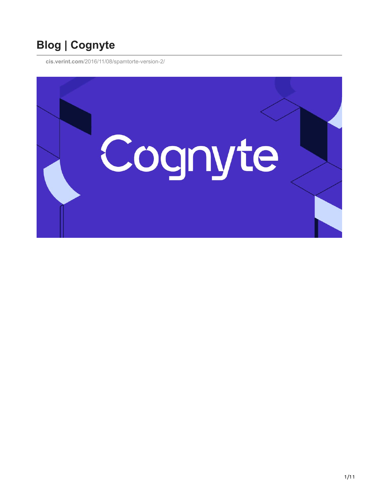# **Blog | Cognyte**

**cis.verint.com**[/2016/11/08/spamtorte-version-2/](https://cis.verint.com/2016/11/08/spamtorte-version-2/)

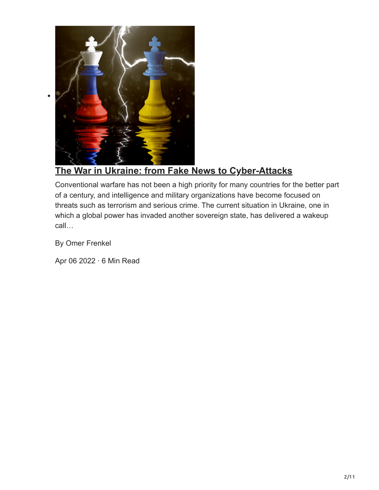

## **[The War in Ukraine: from Fake News to Cyber-Attacks](https://www.cognyte.com/blog/cyber-warfare/)**

Conventional warfare has not been a high priority for many countries for the better part of a century, and intelligence and military organizations have become focused on threats such as terrorism and serious crime. The current situation in Ukraine, one in which a global power has invaded another sovereign state, has delivered a wakeup call…

By Omer Frenkel

 $\bullet$ 

Apr 06 2022 · 6 Min Read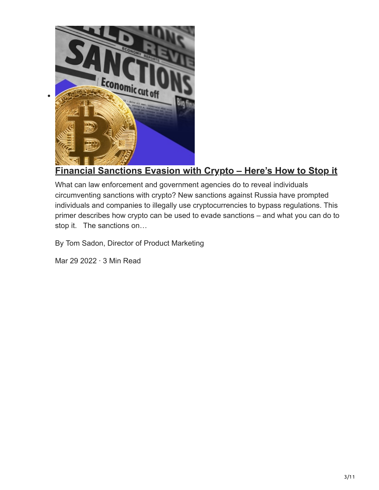

#### **[Financial Sanctions Evasion with Crypto – Here's How to Stop it](https://www.cognyte.com/blog/sanction-evaders-crypto/)**

What can law enforcement and government agencies do to reveal individuals circumventing sanctions with crypto? New sanctions against Russia have prompted individuals and companies to illegally use cryptocurrencies to bypass regulations. This primer describes how crypto can be used to evade sanctions – and what you can do to stop it. The sanctions on…

By Tom Sadon, Director of Product Marketing

Mar 29 2022 · 3 Min Read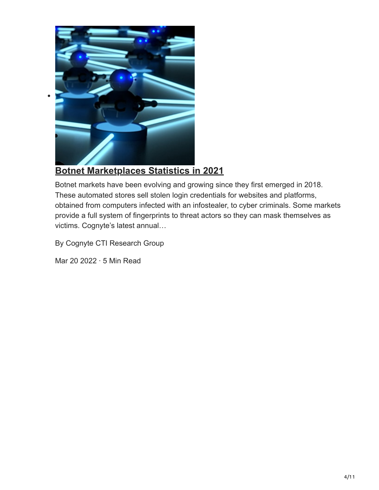

#### **[Botnet Marketplaces Statistics in 2021](https://www.cognyte.com/blog/botnet-market-statistics/)**

Botnet markets have been evolving and growing since they first emerged in 2018. These automated stores sell stolen login credentials for websites and platforms, obtained from computers infected with an infostealer, to cyber criminals. Some markets provide a full system of fingerprints to threat actors so they can mask themselves as victims. Cognyte's latest annual…

By Cognyte CTI Research Group

Mar 20 2022 · 5 Min Read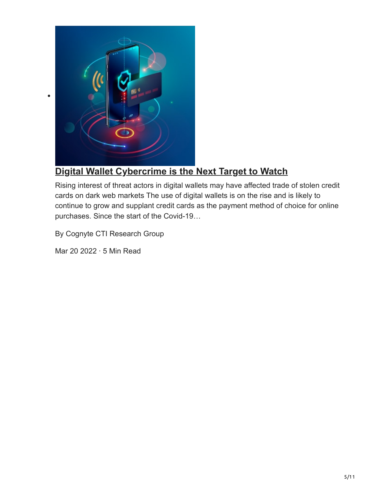

 $\bullet$ 

## **[Digital Wallet Cybercrime is the Next Target to Watch](https://www.cognyte.com/blog/digital-wallet-cybercrime/)**

Rising interest of threat actors in digital wallets may have affected trade of stolen credit cards on dark web markets The use of digital wallets is on the rise and is likely to continue to grow and supplant credit cards as the payment method of choice for online purchases. Since the start of the Covid-19…

By Cognyte CTI Research Group

Mar 20 2022 · 5 Min Read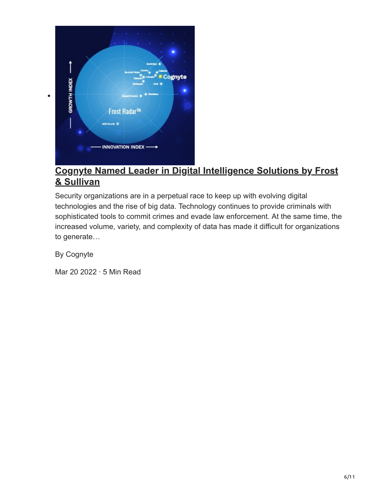

#### **[Cognyte Named Leader in Digital Intelligence Solutions by Frost](https://www.cognyte.com/blog/frost-radar-digital-intelligence-solutions/) & Sullivan**

Security organizations are in a perpetual race to keep up with evolving digital technologies and the rise of big data. Technology continues to provide criminals with sophisticated tools to commit crimes and evade law enforcement. At the same time, the increased volume, variety, and complexity of data has made it difficult for organizations to generate…

By Cognyte

Mar 20 2022 · 5 Min Read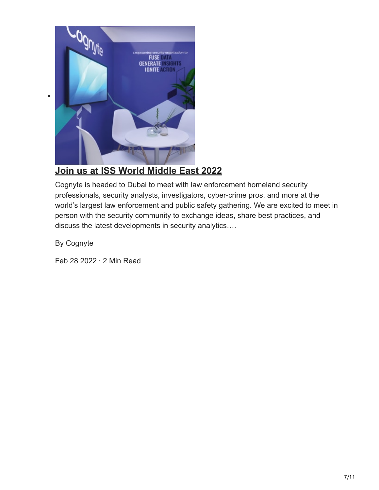

## **[Join us at ISS World Middle East 2022](https://www.cognyte.com/blog/iss-middle-east-2022/)**

Cognyte is headed to Dubai to meet with law enforcement homeland security professionals, security analysts, investigators, cyber-crime pros, and more at the world's largest law enforcement and public safety gathering. We are excited to meet in person with the security community to exchange ideas, share best practices, and discuss the latest developments in security analytics….

By Cognyte

 $\bullet$ 

Feb 28 2022 · 2 Min Read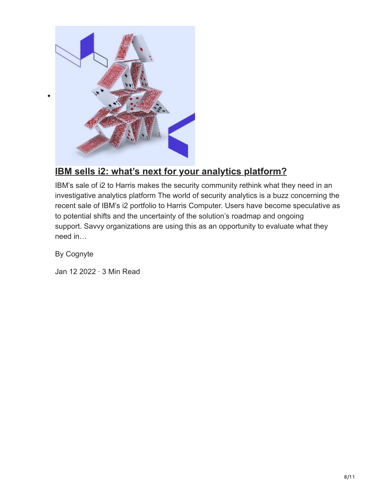

## **[IBM sells i2: what's next for your analytics platform?](https://www.cognyte.com/blog/ibm-i2-sale-rethink-investigative-analytics-platform/)**

IBM's sale of i2 to Harris makes the security community rethink what they need in an investigative analytics platform The world of security analytics is a buzz concerning the recent sale of IBM's i2 portfolio to Harris Computer. Users have become speculative as to potential shifts and the uncertainty of the solution's roadmap and ongoing support. Savvy organizations are using this as an opportunity to evaluate what they need in…

By Cognyte

Jan 12 2022 · 3 Min Read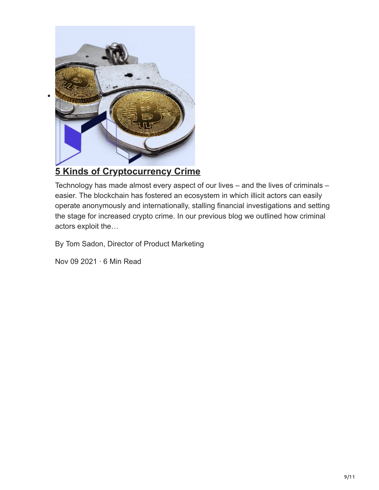

## **[5 Kinds of Cryptocurrency Crime](https://www.cognyte.com/blog/cryptocurrency-crime/)**

Technology has made almost every aspect of our lives – and the lives of criminals – easier. The blockchain has fostered an ecosystem in which illicit actors can easily operate anonymously and internationally, stalling financial investigations and setting the stage for increased crypto crime. In our previous blog we outlined how criminal actors exploit the…

By Tom Sadon, Director of Product Marketing

Nov 09 2021 · 6 Min Read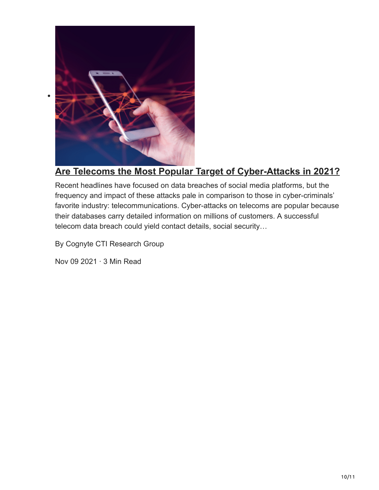

#### **[Are Telecoms the Most Popular Target of Cyber-Attacks in 2021?](https://www.cognyte.com/blog/telecom-cyber-attack/)**

Recent headlines have focused on data breaches of social media platforms, but the frequency and impact of these attacks pale in comparison to those in cyber-criminals' favorite industry: telecommunications. Cyber-attacks on telecoms are popular because their databases carry detailed information on millions of customers. A successful telecom data breach could yield contact details, social security…

By Cognyte CTI Research Group

Nov 09 2021 · 3 Min Read